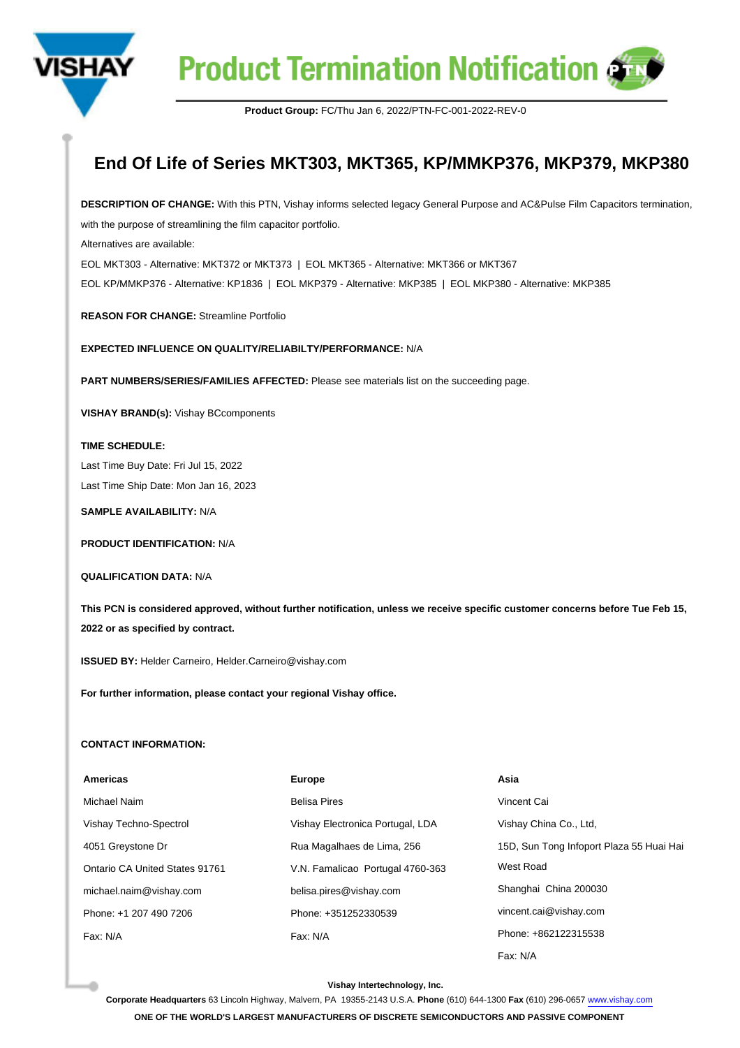

**Product Termination Notification of** 

**Product Group:** FC/Thu Jan 6, 2022/PTN-FC-001-2022-REV-0

## **End Of Life of Series MKT303, MKT365, KP/MMKP376, MKP379, MKP380**

**DESCRIPTION OF CHANGE:** With this PTN, Vishay informs selected legacy General Purpose and AC&Pulse Film Capacitors termination, with the purpose of streamlining the film capacitor portfolio.

Alternatives are available:

EOL MKT303 - Alternative: MKT372 or MKT373 | EOL MKT365 - Alternative: MKT366 or MKT367 EOL KP/MMKP376 - Alternative: KP1836 | EOL MKP379 - Alternative: MKP385 | EOL MKP380 - Alternative: MKP385

**REASON FOR CHANGE:** Streamline Portfolio

**EXPECTED INFLUENCE ON QUALITY/RELIABILTY/PERFORMANCE:** N/A

**PART NUMBERS/SERIES/FAMILIES AFFECTED:** Please see materials list on the succeeding page.

**VISHAY BRAND(s):** Vishay BCcomponents

**TIME SCHEDULE:** 

Last Time Buy Date: Fri Jul 15, 2022 Last Time Ship Date: Mon Jan 16, 2023

**SAMPLE AVAILABILITY:** N/A

**PRODUCT IDENTIFICATION:** N/A

**QUALIFICATION DATA:** N/A

**This PCN is considered approved, without further notification, unless we receive specific customer concerns before Tue Feb 15, 2022 or as specified by contract.**

**ISSUED BY:** Helder Carneiro, Helder.Carneiro@vishay.com

**For further information, please contact your regional Vishay office.**

## **CONTACT INFORMATION:**

| <b>Americas</b>                       | <b>Europe</b>                    | Asia                                     |  |
|---------------------------------------|----------------------------------|------------------------------------------|--|
| Michael Naim                          | <b>Belisa Pires</b>              | Vincent Cai                              |  |
| Vishay Techno-Spectrol                | Vishay Electronica Portugal, LDA | Vishay China Co., Ltd,                   |  |
| 4051 Greystone Dr                     | Rua Magalhaes de Lima, 256       | 15D, Sun Tong Infoport Plaza 55 Huai Hai |  |
| <b>Ontario CA United States 91761</b> | V.N. Famalicao Portugal 4760-363 | West Road                                |  |
| michael.naim@vishay.com               | belisa.pires@vishay.com          | Shanghai China 200030                    |  |
| Phone: +1 207 490 7206                | Phone: +351252330539             | vincent.cai@vishay.com                   |  |
| Fax: N/A                              | Fax: N/A                         | Phone: +862122315538                     |  |
|                                       |                                  | Fax: N/A                                 |  |

## **Vishay Intertechnology, Inc.**

**Corporate Headquarters** 63 Lincoln Highway, Malvern, PA 19355-2143 U.S.A. **Phone** (610) 644-1300 **Fax** (610) 296-0657 [www.vishay.com](https://www.vishay.com) **ONE OF THE WORLD'S LARGEST MANUFACTURERS OF DISCRETE SEMICONDUCTORS AND PASSIVE COMPONENT**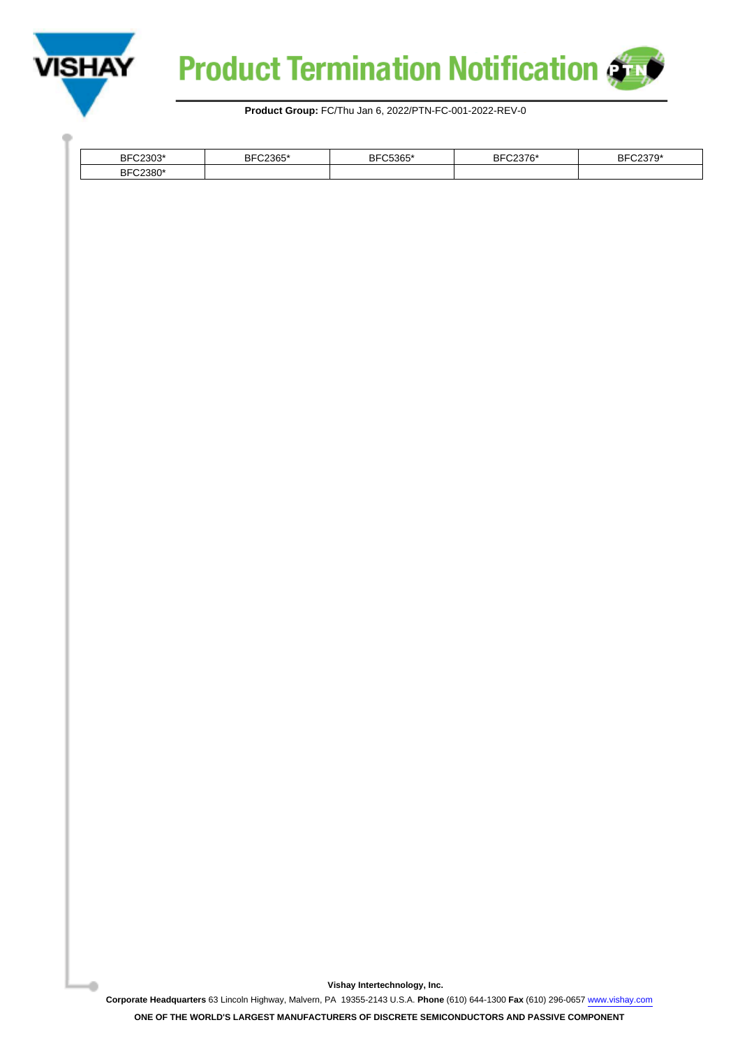

a.



**Product Group:** FC/Thu Jan 6, 2022/PTN-FC-001-2022-REV-0

| 0000<br>BF<br>`ບ∪ພ        | $\sim$<br>∍r | EO QES<br>ז ר<br>სიახი<br>oг | חם<br>эι | $-21$<br>ז ר |
|---------------------------|--------------|------------------------------|----------|--------------|
| annoc:<br>DЕ<br>ÞГ<br>oou |              |                              |          |              |
|                           |              |                              |          |              |

**Vishay Intertechnology, Inc.**

**Corporate Headquarters** 63 Lincoln Highway, Malvern, PA 19355-2143 U.S.A. **Phone** (610) 644-1300 **Fax** (610) 296-0657 [www.vishay.com](https://www.vishay.com)

**ONE OF THE WORLD'S LARGEST MANUFACTURERS OF DISCRETE SEMICONDUCTORS AND PASSIVE COMPONENT**